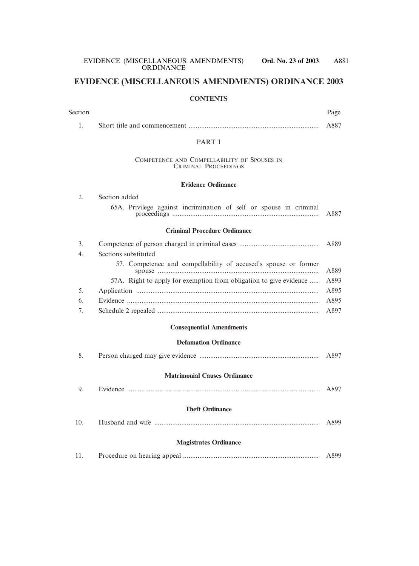# **EVIDENCE (MISCELLANEOUS AMENDMENTS) ORDINANCE 2003**

#### **CONTENTS**

| Section |                                                                            | Page |
|---------|----------------------------------------------------------------------------|------|
| 1.      |                                                                            | A887 |
|         | <b>PART I</b>                                                              |      |
|         | COMPETENCE AND COMPELLABILITY OF SPOUSES IN<br><b>CRIMINAL PROCEEDINGS</b> |      |
|         | <b>Evidence Ordinance</b>                                                  |      |
| 2.      | Section added                                                              |      |
|         | 65A. Privilege against incrimination of self or spouse in criminal         | A887 |
|         | <b>Criminal Procedure Ordinance</b>                                        |      |
| 3.      |                                                                            | A889 |
| 4.      | Sections substituted                                                       |      |
|         | 57. Competence and compellability of accused's spouse or former            | A889 |
|         | 57A. Right to apply for exemption from obligation to give evidence         | A893 |
| 5.      |                                                                            | A895 |
| 6.      |                                                                            | A895 |
| 7.      |                                                                            | A897 |
|         | <b>Consequential Amendments</b>                                            |      |
|         | <b>Defamation Ordinance</b>                                                |      |
| 8.      |                                                                            | A897 |
|         | <b>Matrimonial Causes Ordinance</b>                                        |      |
| 9.      |                                                                            | A897 |
|         | <b>Theft Ordinance</b>                                                     |      |
| 10.     |                                                                            | A899 |
|         | <b>Magistrates Ordinance</b>                                               |      |
| 11.     |                                                                            | A899 |
|         |                                                                            |      |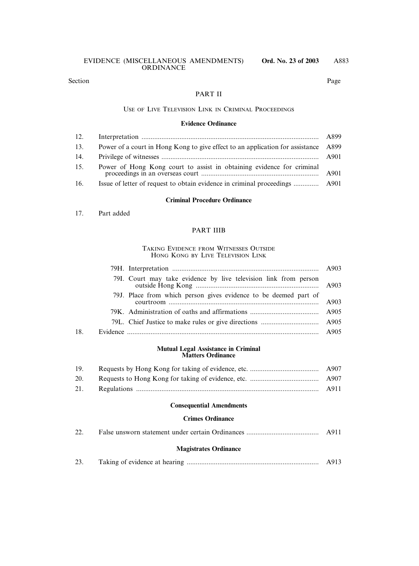#### PART II

#### USE OF LIVE TELEVISION LINK IN CRIMINAL PROCEEDINGS

#### **Evidence Ordinance**

| 12. |                                                                                    | A899 |
|-----|------------------------------------------------------------------------------------|------|
| 13. | Power of a court in Hong Kong to give effect to an application for assistance A899 |      |
| 14. |                                                                                    |      |
| 15. | Power of Hong Kong court to assist in obtaining evidence for criminal              |      |
| 16. |                                                                                    |      |

#### **Criminal Procedure Ordinance**

#### 17. Part added

#### PART IIIB

#### TAKING EVIDENCE FROM WITNESSES OUTSIDE HONG KONG BY LIVE TELEVISION LINK

|     | 79I. Court may take evidence by live television link from person |  |
|-----|------------------------------------------------------------------|--|
|     | 79J. Place from which person gives evidence to be deemed part of |  |
|     |                                                                  |  |
|     |                                                                  |  |
| 18. |                                                                  |  |

#### **Mutual Legal Assistance in Criminal Matters Ordinance**

| 19. |  |
|-----|--|
| 20. |  |
| 21. |  |

#### **Consequential Amendments**

#### **Crimes Ordinance**

| 22. | A911 |
|-----|------|
|     |      |

#### **Magistrates Ordinance**

| $2^{\Omega}$<br>رے |  |  |  |
|--------------------|--|--|--|
|--------------------|--|--|--|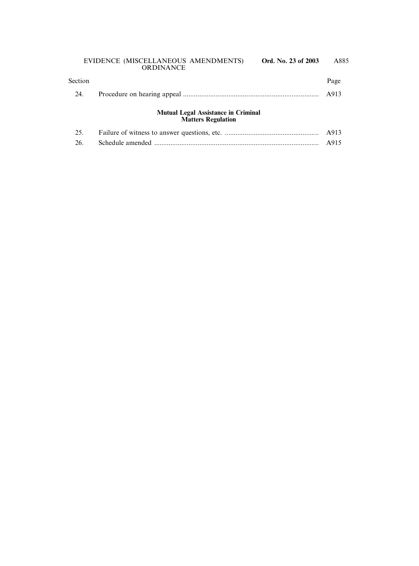| Section |                                                                             | Page |
|---------|-----------------------------------------------------------------------------|------|
| 24.     |                                                                             | A913 |
|         | <b>Mutual Legal Assistance in Criminal</b><br><b>Matters Regulation</b>     |      |
| 25      | Failure of witness to answer questions etc and a set of the set of the A913 |      |

| 2J. <b>Andre</b> |  |
|------------------|--|
|                  |  |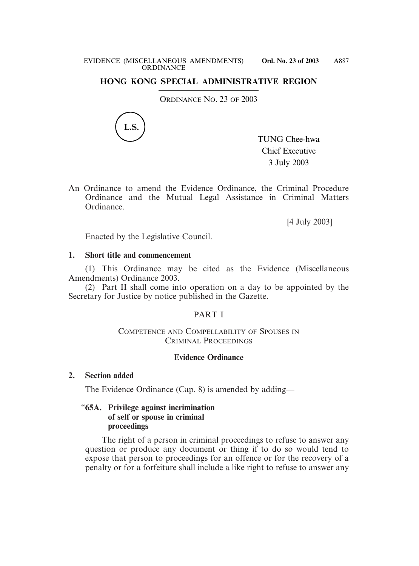#### **HONG KONG SPECIAL ADMINISTRATIVE REGION**

ORDINANCE NO. 23 OF 2003



TUNG Chee-hwa Chief Executive 3 July 2003

An Ordinance to amend the Evidence Ordinance, the Criminal Procedure Ordinance and the Mutual Legal Assistance in Criminal Matters Ordinance.

[4 July 2003]

Enacted by the Legislative Council.

#### **1. Short title and commencement**

(1) This Ordinance may be cited as the Evidence (Miscellaneous Amendments) Ordinance 2003.

(2) Part II shall come into operation on a day to be appointed by the Secretary for Justice by notice published in the Gazette.

# PART I

#### COMPETENCE AND COMPELLABILITY OF SPOUSES IN CRIMINAL PROCEEDINGS

#### **Evidence Ordinance**

#### **2. Section added**

The Evidence Ordinance (Cap. 8) is amended by adding—

#### "**65A. Privilege against incrimination of self or spouse in criminal proceedings**

The right of a person in criminal proceedings to refuse to answer any question or produce any document or thing if to do so would tend to expose that person to proceedings for an offence or for the recovery of a penalty or for a forfeiture shall include a like right to refuse to answer any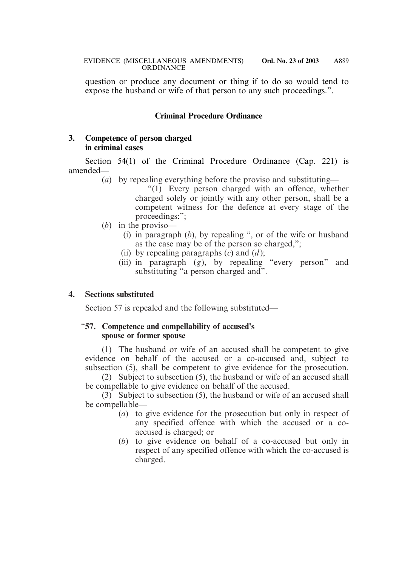question or produce any document or thing if to do so would tend to expose the husband or wife of that person to any such proceedings.".

# **Criminal Procedure Ordinance**

#### **3. Competence of person charged in criminal cases**

Section 54(1) of the Criminal Procedure Ordinance (Cap. 221) is amended—

(*a*) by repealing everything before the proviso and substituting—

"(1) Every person charged with an offence, whether charged solely or jointly with any other person, shall be a competent witness for the defence at every stage of the proceedings:";

- (*b*) in the proviso—
	- (i) in paragraph (*b*), by repealing ", or of the wife or husband as the case may be of the person so charged,";
	- (ii) by repealing paragraphs  $(c)$  and  $(d)$ ;
	- (iii) in paragraph (*g*), by repealing "every person" and substituting "a person charged and".

# **4. Sections substituted**

Section 57 is repealed and the following substituted—

#### "**57. Competence and compellability of accused's spouse or former spouse**

(1) The husband or wife of an accused shall be competent to give evidence on behalf of the accused or a co-accused and, subject to subsection (5), shall be competent to give evidence for the prosecution.

(2) Subject to subsection (5), the husband or wife of an accused shall be compellable to give evidence on behalf of the accused.

(3) Subject to subsection (5), the husband or wife of an accused shall be compellable—

- (*a*) to give evidence for the prosecution but only in respect of any specified offence with which the accused or a coaccused is charged; or
- (*b*) to give evidence on behalf of a co-accused but only in respect of any specified offence with which the co-accused is charged.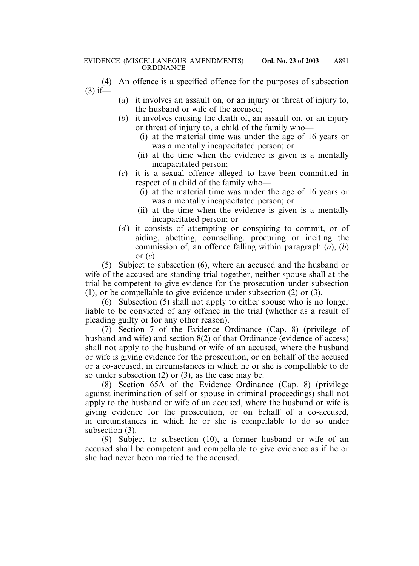- (4) An offence is a specified offence for the purposes of subsection  $(3)$  if—
	- (*a*) it involves an assault on, or an injury or threat of injury to, the husband or wife of the accused;
	- (*b*) it involves causing the death of, an assault on, or an injury or threat of injury to, a child of the family who—
		- (i) at the material time was under the age of 16 years or was a mentally incapacitated person; or
		- (ii) at the time when the evidence is given is a mentally incapacitated person;
	- (*c*) it is a sexual offence alleged to have been committed in respect of a child of the family who—
		- (i) at the material time was under the age of 16 years or was a mentally incapacitated person; or
		- (ii) at the time when the evidence is given is a mentally incapacitated person; or
	- (*d*) it consists of attempting or conspiring to commit, or of aiding, abetting, counselling, procuring or inciting the commission of, an offence falling within paragraph (*a*), (*b*) or (*c*).

(5) Subject to subsection (6), where an accused and the husband or wife of the accused are standing trial together, neither spouse shall at the trial be competent to give evidence for the prosecution under subsection (1), or be compellable to give evidence under subsection (2) or (3).

(6) Subsection (5) shall not apply to either spouse who is no longer liable to be convicted of any offence in the trial (whether as a result of pleading guilty or for any other reason).

(7) Section 7 of the Evidence Ordinance (Cap. 8) (privilege of husband and wife) and section 8(2) of that Ordinance (evidence of access) shall not apply to the husband or wife of an accused, where the husband or wife is giving evidence for the prosecution, or on behalf of the accused or a co-accused, in circumstances in which he or she is compellable to do so under subsection (2) or (3), as the case may be.

(8) Section 65A of the Evidence Ordinance (Cap. 8) (privilege against incrimination of self or spouse in criminal proceedings) shall not apply to the husband or wife of an accused, where the husband or wife is giving evidence for the prosecution, or on behalf of a co-accused, in circumstances in which he or she is compellable to do so under subsection (3).

(9) Subject to subsection (10), a former husband or wife of an accused shall be competent and compellable to give evidence as if he or she had never been married to the accused.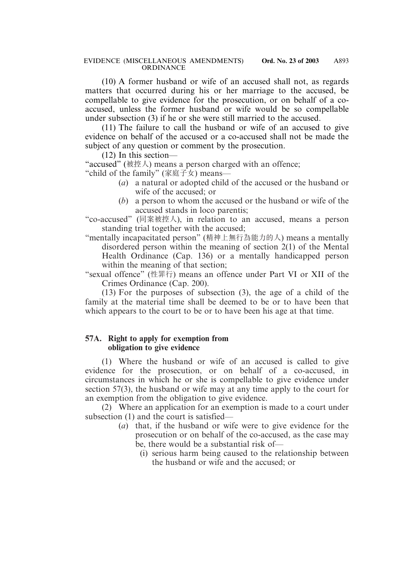(10) A former husband or wife of an accused shall not, as regards matters that occurred during his or her marriage to the accused, be compellable to give evidence for the prosecution, or on behalf of a coaccused, unless the former husband or wife would be so compellable under subsection (3) if he or she were still married to the accused.

(11) The failure to call the husband or wife of an accused to give evidence on behalf of the accused or a co-accused shall not be made the subject of any question or comment by the prosecution.

(12) In this section—

"accused" (被控人) means a person charged with an offence;

"child of the family" (家庭子女) means—

- (*a*) a natural or adopted child of the accused or the husband or wife of the accused; or
- (*b*) a person to whom the accused or the husband or wife of the accused stands in loco parentis;
- "co-accused" (同案被控人), in relation to an accused, means a person standing trial together with the accused;
- "mentally incapacitated person" (精神上無行為能力的人) means a mentally disordered person within the meaning of section 2(1) of the Mental Health Ordinance (Cap. 136) or a mentally handicapped person within the meaning of that section;

"sexual offence" (性罪行) means an offence under Part VI or XII of the Crimes Ordinance (Cap. 200).

(13) For the purposes of subsection (3), the age of a child of the family at the material time shall be deemed to be or to have been that which appears to the court to be or to have been his age at that time.

#### **57A. Right to apply for exemption from obligation to give evidence**

(1) Where the husband or wife of an accused is called to give evidence for the prosecution, or on behalf of a co-accused, in circumstances in which he or she is compellable to give evidence under section 57(3), the husband or wife may at any time apply to the court for an exemption from the obligation to give evidence.

(2) Where an application for an exemption is made to a court under subsection (1) and the court is satisfied—

- (*a*) that, if the husband or wife were to give evidence for the prosecution or on behalf of the co-accused, as the case may be, there would be a substantial risk of—
	- (i) serious harm being caused to the relationship between the husband or wife and the accused; or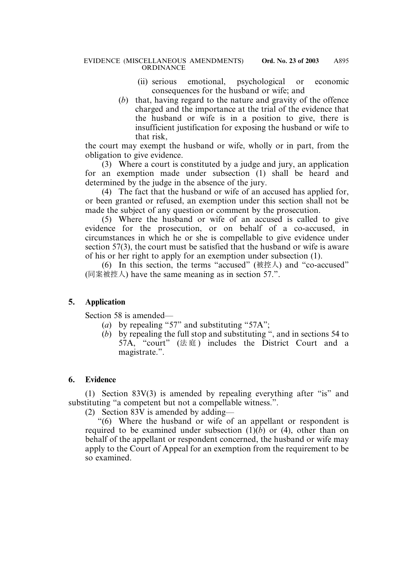- (ii) serious emotional, psychological or economic consequences for the husband or wife; and
- (*b*) that, having regard to the nature and gravity of the offence charged and the importance at the trial of the evidence that the husband or wife is in a position to give, there is insufficient justification for exposing the husband or wife to that risk,

the court may exempt the husband or wife, wholly or in part, from the obligation to give evidence.

(3) Where a court is constituted by a judge and jury, an application for an exemption made under subsection (1) shall be heard and determined by the judge in the absence of the jury.

(4) The fact that the husband or wife of an accused has applied for, or been granted or refused, an exemption under this section shall not be made the subject of any question or comment by the prosecution.

(5) Where the husband or wife of an accused is called to give evidence for the prosecution, or on behalf of a co-accused, in circumstances in which he or she is compellable to give evidence under section 57(3), the court must be satisfied that the husband or wife is aware of his or her right to apply for an exemption under subsection (1).

(6) In this section, the terms "accused" ( $\text{\&} \mathbb{R} \times \text{\&} \times \text{\&}$ ) and "co-accused" (同案被控人) have the same meaning as in section 57.".

# **5. Application**

Section 58 is amended—

- (*a*) by repealing "57" and substituting "57A";
- (*b*) by repealing the full stop and substituting ", and in sections 54 to 57A, "court"  $(\nexists \mathbb{R})$  includes the District Court and a magistrate.".

# **6. Evidence**

(1) Section 83V(3) is amended by repealing everything after "is" and substituting "a competent but not a compellable witness.".

(2) Section 83V is amended by adding—

"(6) Where the husband or wife of an appellant or respondent is required to be examined under subsection  $(1)(b)$  or (4), other than on behalf of the appellant or respondent concerned, the husband or wife may apply to the Court of Appeal for an exemption from the requirement to be so examined.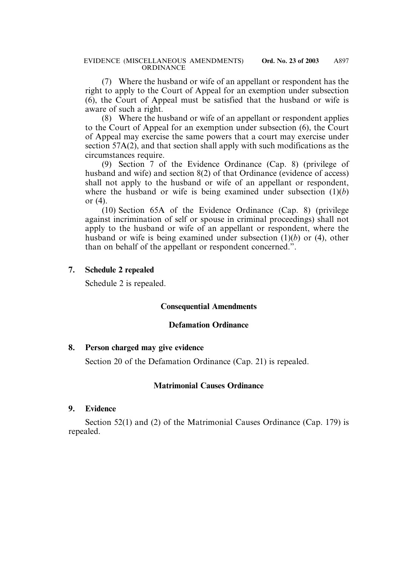(7) Where the husband or wife of an appellant or respondent has the right to apply to the Court of Appeal for an exemption under subsection (6), the Court of Appeal must be satisfied that the husband or wife is aware of such a right.

(8) Where the husband or wife of an appellant or respondent applies to the Court of Appeal for an exemption under subsection (6), the Court of Appeal may exercise the same powers that a court may exercise under section 57A(2), and that section shall apply with such modifications as the circumstances require.

(9) Section 7 of the Evidence Ordinance (Cap. 8) (privilege of husband and wife) and section 8(2) of that Ordinance (evidence of access) shall not apply to the husband or wife of an appellant or respondent, where the husband or wife is being examined under subsection (1)(*b*) or (4).

(10) Section 65A of the Evidence Ordinance (Cap. 8) (privilege against incrimination of self or spouse in criminal proceedings) shall not apply to the husband or wife of an appellant or respondent, where the husband or wife is being examined under subsection (1)(*b*) or (4), other than on behalf of the appellant or respondent concerned.".

#### **7. Schedule 2 repealed**

Schedule 2 is repealed.

# **Consequential Amendments**

#### **Defamation Ordinance**

#### **8. Person charged may give evidence**

Section 20 of the Defamation Ordinance (Cap. 21) is repealed.

# **Matrimonial Causes Ordinance**

#### **9. Evidence**

Section 52(1) and (2) of the Matrimonial Causes Ordinance (Cap. 179) is repealed.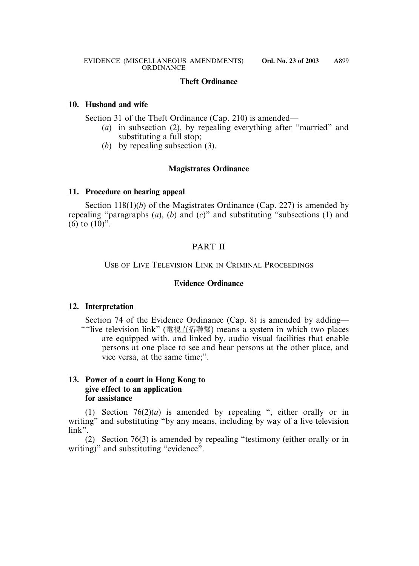# **Theft Ordinance**

#### **10. Husband and wife**

Section 31 of the Theft Ordinance (Cap. 210) is amended—

- (*a*) in subsection (2), by repealing everything after "married" and substituting a full stop;
- (*b*) by repealing subsection (3).

# **Magistrates Ordinance**

#### **11. Procedure on hearing appeal**

Section 118(1)(*b*) of the Magistrates Ordinance (Cap. 227) is amended by repealing "paragraphs (*a*), (*b*) and (*c*)" and substituting "subsections (1) and (6) to  $(10)$ ".

# PART II

# USE OF LIVE TELEVISION LINK IN CRIMINAL PROCEEDINGS

#### **Evidence Ordinance**

# **12. Interpretation**

Section 74 of the Evidence Ordinance (Cap. 8) is amended by adding— ""live television link" (電視直播聯繫) means a system in which two places are equipped with, and linked by, audio visual facilities that enable persons at one place to see and hear persons at the other place, and vice versa, at the same time;".

# **13. Power of a court in Hong Kong to give effect to an application for assistance**

(1) Section 76(2)(*a*) is amended by repealing ", either orally or in writing" and substituting "by any means, including by way of a live television link".

(2) Section 76(3) is amended by repealing "testimony (either orally or in writing)" and substituting "evidence".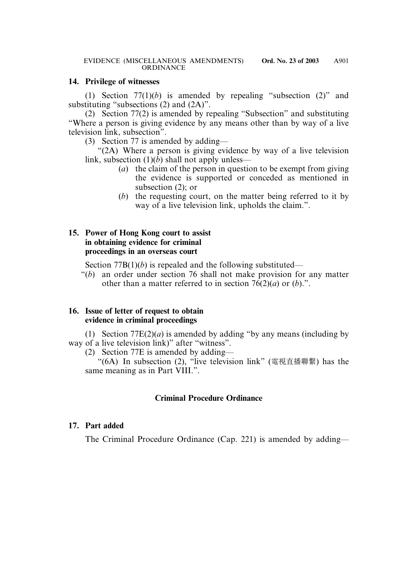#### **14. Privilege of witnesses**

(1) Section  $77(1)(b)$  is amended by repealing "subsection  $(2)$ " and substituting "subsections (2) and (2A)".

(2) Section 77(2) is amended by repealing "Subsection" and substituting "Where a person is giving evidence by any means other than by way of a live television link, subsection".

(3) Section 77 is amended by adding—

"(2A) Where a person is giving evidence by way of a live television link, subsection (1)(*b*) shall not apply unless—

- (*a*) the claim of the person in question to be exempt from giving the evidence is supported or conceded as mentioned in subsection (2); or
- (*b*) the requesting court, on the matter being referred to it by way of a live television link, upholds the claim.".

#### **15. Power of Hong Kong court to assist in obtaining evidence for criminal proceedings in an overseas court**

Section 77B(1)(*b*) is repealed and the following substituted—

"(*b*) an order under section 76 shall not make provision for any matter other than a matter referred to in section  $76(2)(a)$  or  $(b)$ .".

#### **16. Issue of letter of request to obtain evidence in criminal proceedings**

(1) Section  $77E(2)(a)$  is amended by adding "by any means (including by way of a live television link)" after "witness".

(2) Section 77E is amended by adding—

"(6A) In subsection (2), "live television link" (電視直播聯繫) has the same meaning as in Part VIII.".

# **Criminal Procedure Ordinance**

#### **17. Part added**

The Criminal Procedure Ordinance (Cap. 221) is amended by adding—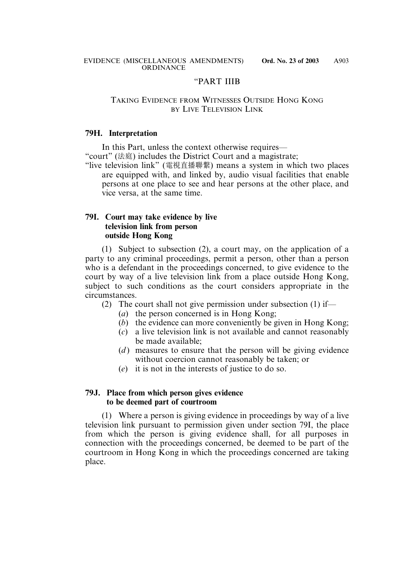#### "PART IIIB

#### TAKING EVIDENCE FROM WITNESSES OUTSIDE HONG KONG BY LIVE TELEVISION LINK

#### **79H. Interpretation**

In this Part, unless the context otherwise requires—

"court" (法庭) includes the District Court and a magistrate;

"live television link" (電視直播聯繫) means a system in which two places are equipped with, and linked by, audio visual facilities that enable persons at one place to see and hear persons at the other place, and vice versa, at the same time.

#### **79I. Court may take evidence by live television link from person outside Hong Kong**

(1) Subject to subsection (2), a court may, on the application of a party to any criminal proceedings, permit a person, other than a person who is a defendant in the proceedings concerned, to give evidence to the court by way of a live television link from a place outside Hong Kong, subject to such conditions as the court considers appropriate in the circumstances.

- (2) The court shall not give permission under subsection (1) if—
	- (*a*) the person concerned is in Hong Kong;
	- (*b*) the evidence can more conveniently be given in Hong Kong;
	- (*c*) a live television link is not available and cannot reasonably be made available;
	- (*d*) measures to ensure that the person will be giving evidence without coercion cannot reasonably be taken; or
	- (*e*) it is not in the interests of justice to do so.

# **79J. Place from which person gives evidence to be deemed part of courtroom**

(1) Where a person is giving evidence in proceedings by way of a live television link pursuant to permission given under section 79I, the place from which the person is giving evidence shall, for all purposes in connection with the proceedings concerned, be deemed to be part of the courtroom in Hong Kong in which the proceedings concerned are taking place.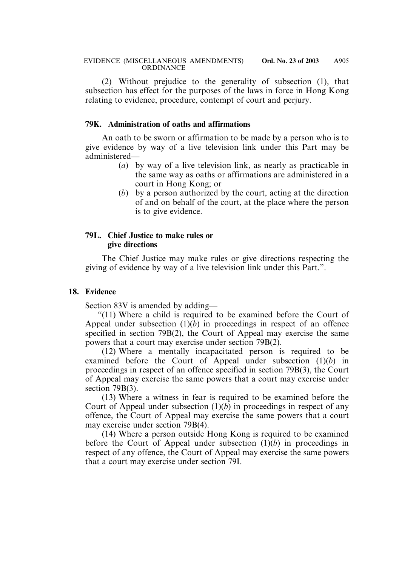(2) Without prejudice to the generality of subsection (1), that subsection has effect for the purposes of the laws in force in Hong Kong relating to evidence, procedure, contempt of court and perjury.

#### **79K. Administration of oaths and affirmations**

An oath to be sworn or affirmation to be made by a person who is to give evidence by way of a live television link under this Part may be administered—

- (*a*) by way of a live television link, as nearly as practicable in the same way as oaths or affirmations are administered in a court in Hong Kong; or
- (*b*) by a person authorized by the court, acting at the direction of and on behalf of the court, at the place where the person is to give evidence.

#### **79L. Chief Justice to make rules or give directions**

The Chief Justice may make rules or give directions respecting the giving of evidence by way of a live television link under this Part.".

#### **18. Evidence**

Section 83V is amended by adding—

"(11) Where a child is required to be examined before the Court of Appeal under subsection  $(1)(b)$  in proceedings in respect of an offence specified in section 79B(2), the Court of Appeal may exercise the same powers that a court may exercise under section 79B(2).

(12) Where a mentally incapacitated person is required to be examined before the Court of Appeal under subsection (1)(*b*) in proceedings in respect of an offence specified in section 79B(3), the Court of Appeal may exercise the same powers that a court may exercise under section 79B(3).

(13) Where a witness in fear is required to be examined before the Court of Appeal under subsection (1)(*b*) in proceedings in respect of any offence, the Court of Appeal may exercise the same powers that a court may exercise under section 79B(4).

(14) Where a person outside Hong Kong is required to be examined before the Court of Appeal under subsection (1)(*b*) in proceedings in respect of any offence, the Court of Appeal may exercise the same powers that a court may exercise under section 79I.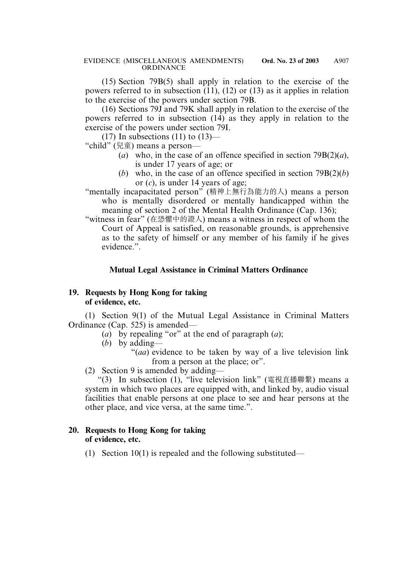(15) Section 79B(5) shall apply in relation to the exercise of the powers referred to in subsection (11), (12) or (13) as it applies in relation to the exercise of the powers under section 79B.

(16) Sections 79J and 79K shall apply in relation to the exercise of the powers referred to in subsection (14) as they apply in relation to the exercise of the powers under section 79I.

(17) In subsections (11) to  $(13)$ —

"child" (兒童) means a person—

- (*a*) who, in the case of an offence specified in section 79B(2)(*a*), is under 17 years of age; or
- (*b*) who, in the case of an offence specified in section 79B(2)(*b*) or (*c*), is under 14 years of age;
- "mentally incapacitated person" (精神上無行為能力的人) means a person who is mentally disordered or mentally handicapped within the meaning of section 2 of the Mental Health Ordinance (Cap. 136);
- "witness in fear" (在恐懼中的證人) means a witness in respect of whom the Court of Appeal is satisfied, on reasonable grounds, is apprehensive as to the safety of himself or any member of his family if he gives evidence.".

# **Mutual Legal Assistance in Criminal Matters Ordinance**

# **19. Requests by Hong Kong for taking of evidence, etc.**

(1) Section 9(1) of the Mutual Legal Assistance in Criminal Matters Ordinance (Cap. 525) is amended—

- (*a*) by repealing "or" at the end of paragraph (*a*);
- (*b*) by adding—

"(*aa*) evidence to be taken by way of a live television link from a person at the place; or".

(2) Section 9 is amended by adding—

"(3) In subsection (1), "live television link" (電視直播聯繫) means a system in which two places are equipped with, and linked by, audio visual facilities that enable persons at one place to see and hear persons at the other place, and vice versa, at the same time.".

# **20. Requests to Hong Kong for taking of evidence, etc.**

(1) Section 10(1) is repealed and the following substituted—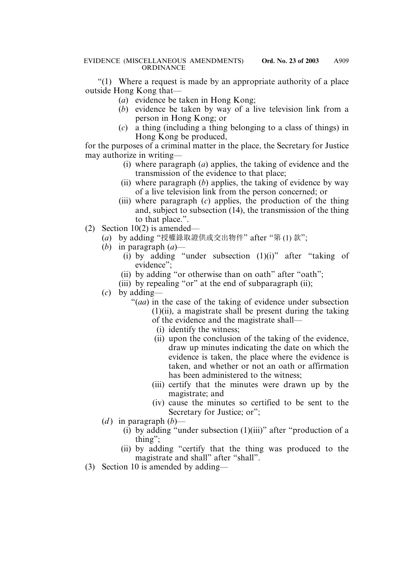"(1) Where a request is made by an appropriate authority of a place outside Hong Kong that—

- (*a*) evidence be taken in Hong Kong;
- (*b*) evidence be taken by way of a live television link from a person in Hong Kong; or
- (*c*) a thing (including a thing belonging to a class of things) in Hong Kong be produced,

for the purposes of a criminal matter in the place, the Secretary for Justice may authorize in writing—

- (i) where paragraph (*a*) applies, the taking of evidence and the transmission of the evidence to that place;
- (ii) where paragraph (*b*) applies, the taking of evidence by way of a live television link from the person concerned; or
- (iii) where paragraph (*c*) applies, the production of the thing and, subject to subsection (14), the transmission of the thing to that place.".
- (2) Section 10(2) is amended—
	- (*a*) by adding "授權錄取證供或交出物件" after "第 (1) 款";
	- (*b*) in paragraph (*a*)—
		- (i) by adding "under subsection  $(1)(i)$ " after "taking of evidence";
		- (ii) by adding "or otherwise than on oath" after "oath";
		- (iii) by repealing "or" at the end of subparagraph (ii);
	- (*c*) by adding—
		- "(*aa*) in the case of the taking of evidence under subsection (1)(ii), a magistrate shall be present during the taking of the evidence and the magistrate shall—
			- (i) identify the witness;
			- (ii) upon the conclusion of the taking of the evidence, draw up minutes indicating the date on which the evidence is taken, the place where the evidence is taken, and whether or not an oath or affirmation has been administered to the witness;
			- (iii) certify that the minutes were drawn up by the magistrate; and
			- (iv) cause the minutes so certified to be sent to the Secretary for Justice; or";
	- (*d*) in paragraph  $(b)$ 
		- (i) by adding "under subsection (1)(iii)" after "production of a thing";
		- (ii) by adding "certify that the thing was produced to the magistrate and shall" after "shall".
- (3) Section 10 is amended by adding—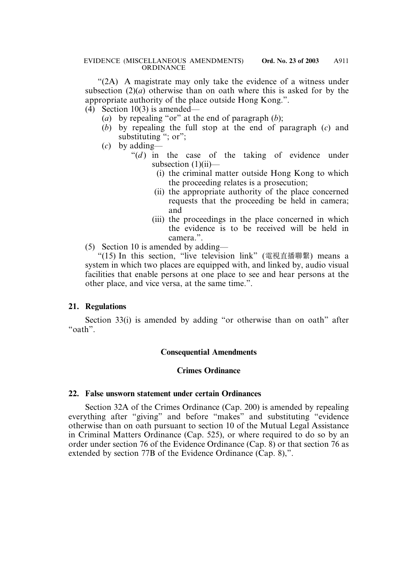"(2A) A magistrate may only take the evidence of a witness under subsection (2)(*a*) otherwise than on oath where this is asked for by the appropriate authority of the place outside Hong Kong.".

- (4) Section 10(3) is amended—
	- (*a*) by repealing "or" at the end of paragraph (*b*);
	- (*b*) by repealing the full stop at the end of paragraph (*c*) and substituting "; or";
	- (*c*) by adding—
		- " $(d)$  in the case of the taking of evidence under subsection  $(1)(ii)$ —
			- (i) the criminal matter outside Hong Kong to which the proceeding relates is a prosecution;
			- (ii) the appropriate authority of the place concerned requests that the proceeding be held in camera; and
			- (iii) the proceedings in the place concerned in which the evidence is to be received will be held in camera.".
- (5) Section 10 is amended by adding—

"(15) In this section, "live television link" (電視直播聯繫) means a system in which two places are equipped with, and linked by, audio visual facilities that enable persons at one place to see and hear persons at the other place, and vice versa, at the same time.".

#### **21. Regulations**

Section 33(i) is amended by adding "or otherwise than on oath" after "oath".

#### **Consequential Amendments**

#### **Crimes Ordinance**

#### **22. False unsworn statement under certain Ordinances**

Section 32A of the Crimes Ordinance (Cap. 200) is amended by repealing everything after "giving" and before "makes" and substituting "evidence otherwise than on oath pursuant to section 10 of the Mutual Legal Assistance in Criminal Matters Ordinance (Cap. 525), or where required to do so by an order under section 76 of the Evidence Ordinance (Cap. 8) or that section 76 as extended by section 77B of the Evidence Ordinance (Cap. 8),".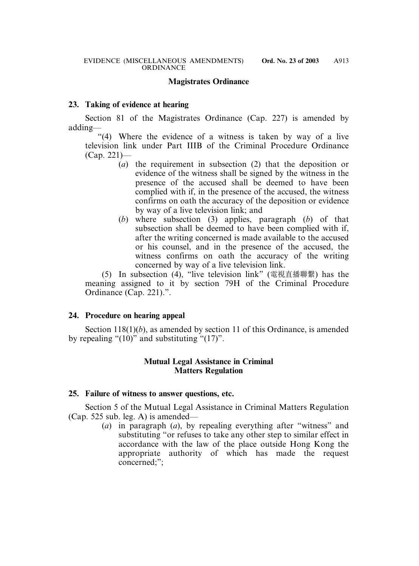#### **Magistrates Ordinance**

#### **23. Taking of evidence at hearing**

Section 81 of the Magistrates Ordinance (Cap. 227) is amended by adding—

"(4) Where the evidence of a witness is taken by way of a live television link under Part IIIB of the Criminal Procedure Ordinance (Cap. 221)—

- (*a*) the requirement in subsection (2) that the deposition or evidence of the witness shall be signed by the witness in the presence of the accused shall be deemed to have been complied with if, in the presence of the accused, the witness confirms on oath the accuracy of the deposition or evidence by way of a live television link; and
- (*b*) where subsection (3) applies, paragraph (*b*) of that subsection shall be deemed to have been complied with if, after the writing concerned is made available to the accused or his counsel, and in the presence of the accused, the witness confirms on oath the accuracy of the writing concerned by way of a live television link.

(5) In subsection (4), "live television link" (電視直播聯繫) has the meaning assigned to it by section 79H of the Criminal Procedure Ordinance (Cap. 221).".

# **24. Procedure on hearing appeal**

Section 118(1)(*b*), as amended by section 11 of this Ordinance, is amended by repealing " $(10)$ " and substituting " $(17)$ ".

# **Mutual Legal Assistance in Criminal Matters Regulation**

#### **25. Failure of witness to answer questions, etc.**

Section 5 of the Mutual Legal Assistance in Criminal Matters Regulation (Cap. 525 sub. leg. A) is amended—

(*a*) in paragraph (*a*), by repealing everything after "witness" and substituting "or refuses to take any other step to similar effect in accordance with the law of the place outside Hong Kong the appropriate authority of which has made the request concerned;";